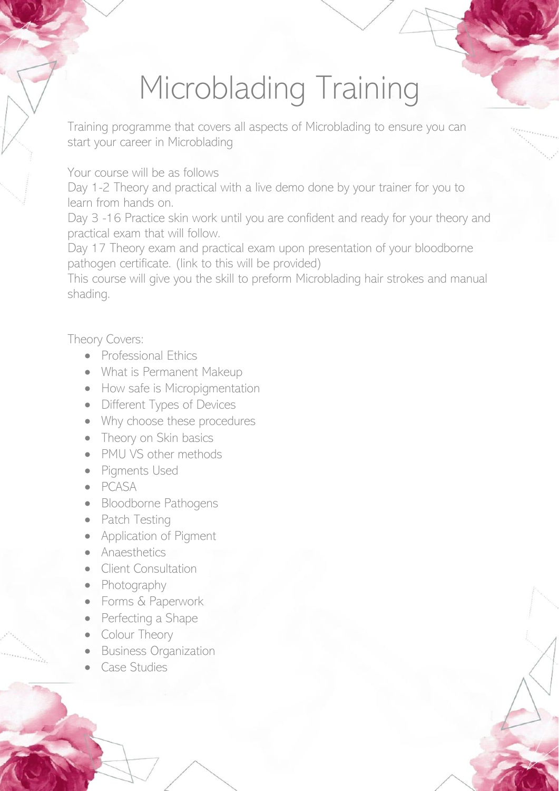## Microblading Training

Training programme that covers all aspects of Microblading to ensure you can start your career in Microblading

Your course will be as follows

Day 1-2 Theory and practical with a live demo done by your trainer for you to learn from hands on.

Day 3 -16 Practice skin work until you are confident and ready for your theory and practical exam that will follow.

Day 17 Theory exam and practical exam upon presentation of your bloodborne pathogen certificate. (link to this will be provided)

This course will give you the skill to preform Microblading hair strokes and manual shading.

Theory Covers:

- Professional Ethics
- What is Permanent Makeup
- How safe is Micropigmentation
- Different Types of Devices
- Why choose these procedures
- Theory on Skin basics
- PMU VS other methods
- Pigments Used
- PCASA
- Bloodborne Pathogens
- Patch Testing
- Application of Pigment
- Anaesthetics
- Client Consultation
- Photography
- Forms & Paperwork
- Perfecting a Shape
- **Colour Theory**
- Business Organization
- Case Studies